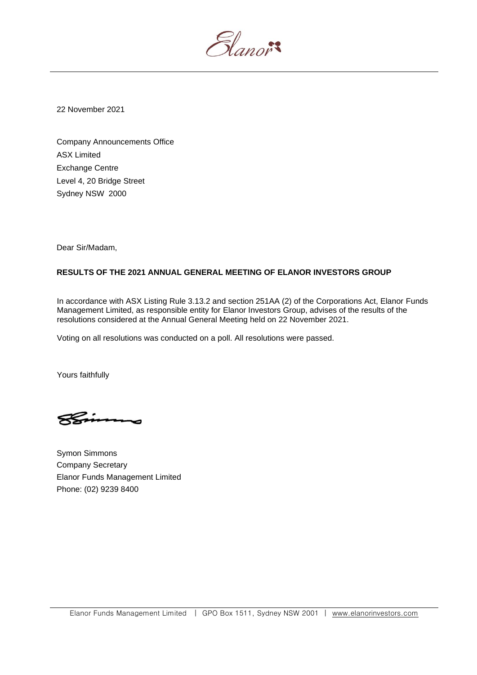Slanor<sup>s</sup>

22 November 2021

Company Announcements Office ASX Limited Exchange Centre Level 4, 20 Bridge Street Sydney NSW 2000

Dear Sir/Madam,

## **RESULTS OF THE 2021 ANNUAL GENERAL MEETING OF ELANOR INVESTORS GROUP**

In accordance with ASX Listing Rule 3.13.2 and section 251AA (2) of the Corporations Act, Elanor Funds Management Limited, as responsible entity for Elanor Investors Group, advises of the results of the resolutions considered at the Annual General Meeting held on 22 November 2021.

Voting on all resolutions was conducted on a poll. All resolutions were passed.

Yours faithfully

Symon Simmons Company Secretary Elanor Funds Management Limited Phone: (02) 9239 8400